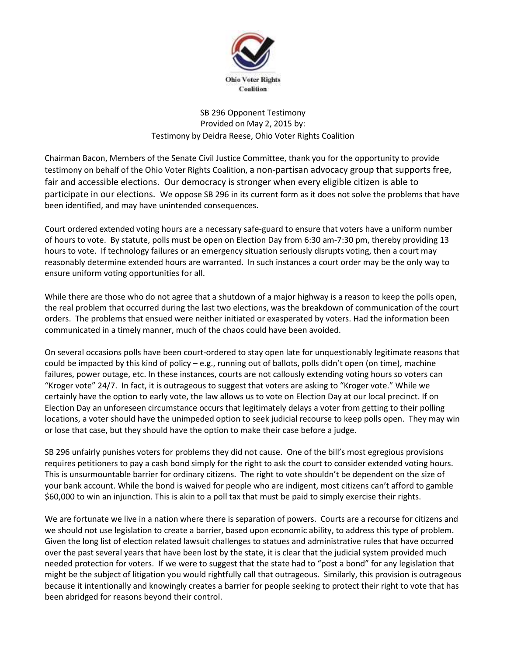

SB 296 Opponent Testimony Provided on May 2, 2015 by: Testimony by Deidra Reese, Ohio Voter Rights Coalition

Chairman Bacon, Members of the Senate Civil Justice Committee, thank you for the opportunity to provide testimony on behalf of the Ohio Voter Rights Coalition, a non-partisan advocacy group that supports free, fair and accessible elections. Our democracy is stronger when every eligible citizen is able to participate in our elections. We oppose SB 296 in its current form as it does not solve the problems that have been identified, and may have unintended consequences.

Court ordered extended voting hours are a necessary safe-guard to ensure that voters have a uniform number of hours to vote. By statute, polls must be open on Election Day from 6:30 am-7:30 pm, thereby providing 13 hours to vote. If technology failures or an emergency situation seriously disrupts voting, then a court may reasonably determine extended hours are warranted. In such instances a court order may be the only way to ensure uniform voting opportunities for all.

While there are those who do not agree that a shutdown of a major highway is a reason to keep the polls open, the real problem that occurred during the last two elections, was the breakdown of communication of the court orders. The problems that ensued were neither initiated or exasperated by voters. Had the information been communicated in a timely manner, much of the chaos could have been avoided.

On several occasions polls have been court-ordered to stay open late for unquestionably legitimate reasons that could be impacted by this kind of policy – e.g., running out of ballots, polls didn't open (on time), machine failures, power outage, etc. In these instances, courts are not callously extending voting hours so voters can "Kroger vote" 24/7. In fact, it is outrageous to suggest that voters are asking to "Kroger vote." While we certainly have the option to early vote, the law allows us to vote on Election Day at our local precinct. If on Election Day an unforeseen circumstance occurs that legitimately delays a voter from getting to their polling locations, a voter should have the unimpeded option to seek judicial recourse to keep polls open. They may win or lose that case, but they should have the option to make their case before a judge.

SB 296 unfairly punishes voters for problems they did not cause. One of the bill's most egregious provisions requires petitioners to pay a cash bond simply for the right to ask the court to consider extended voting hours. This is unsurmountable barrier for ordinary citizens. The right to vote shouldn't be dependent on the size of your bank account. While the bond is waived for people who are indigent, most citizens can't afford to gamble \$60,000 to win an injunction. This is akin to a poll tax that must be paid to simply exercise their rights.

We are fortunate we live in a nation where there is separation of powers. Courts are a recourse for citizens and we should not use legislation to create a barrier, based upon economic ability, to address this type of problem. Given the long list of election related lawsuit challenges to statues and administrative rules that have occurred over the past several years that have been lost by the state, it is clear that the judicial system provided much needed protection for voters. If we were to suggest that the state had to "post a bond" for any legislation that might be the subject of litigation you would rightfully call that outrageous. Similarly, this provision is outrageous because it intentionally and knowingly creates a barrier for people seeking to protect their right to vote that has been abridged for reasons beyond their control.